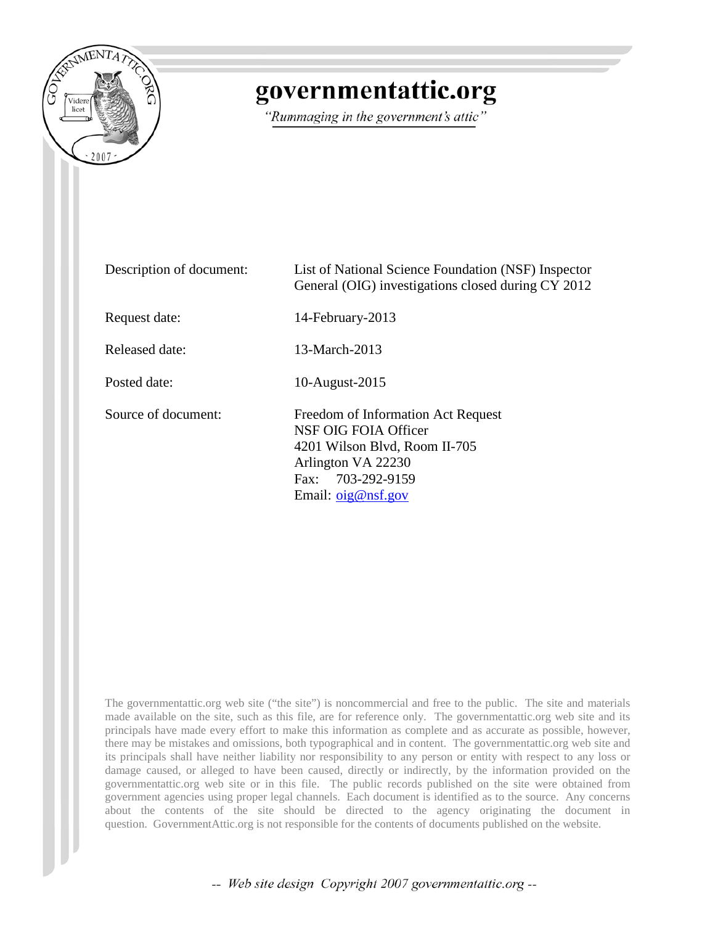

## governmentattic.org

"Rummaging in the government's attic"

| Description of document: | List of National Science Foundation (NSF) Inspector<br>General (OIG) investigations closed during CY 2012                                                      |
|--------------------------|----------------------------------------------------------------------------------------------------------------------------------------------------------------|
| Request date:            | 14-February-2013                                                                                                                                               |
| Released date:           | 13-March-2013                                                                                                                                                  |
| Posted date:             | 10-August-2015                                                                                                                                                 |
| Source of document:      | Freedom of Information Act Request<br>NSF OIG FOIA Officer<br>4201 Wilson Blvd, Room II-705<br>Arlington VA 22230<br>Fax: 703-292-9159<br>Email: $oig@nsf.gov$ |

The governmentattic.org web site ("the site") is noncommercial and free to the public. The site and materials made available on the site, such as this file, are for reference only. The governmentattic.org web site and its principals have made every effort to make this information as complete and as accurate as possible, however, there may be mistakes and omissions, both typographical and in content. The governmentattic.org web site and its principals shall have neither liability nor responsibility to any person or entity with respect to any loss or damage caused, or alleged to have been caused, directly or indirectly, by the information provided on the governmentattic.org web site or in this file. The public records published on the site were obtained from government agencies using proper legal channels. Each document is identified as to the source. Any concerns about the contents of the site should be directed to the agency originating the document in question. GovernmentAttic.org is not responsible for the contents of documents published on the website.

-- Web site design Copyright 2007 governmentattic.org --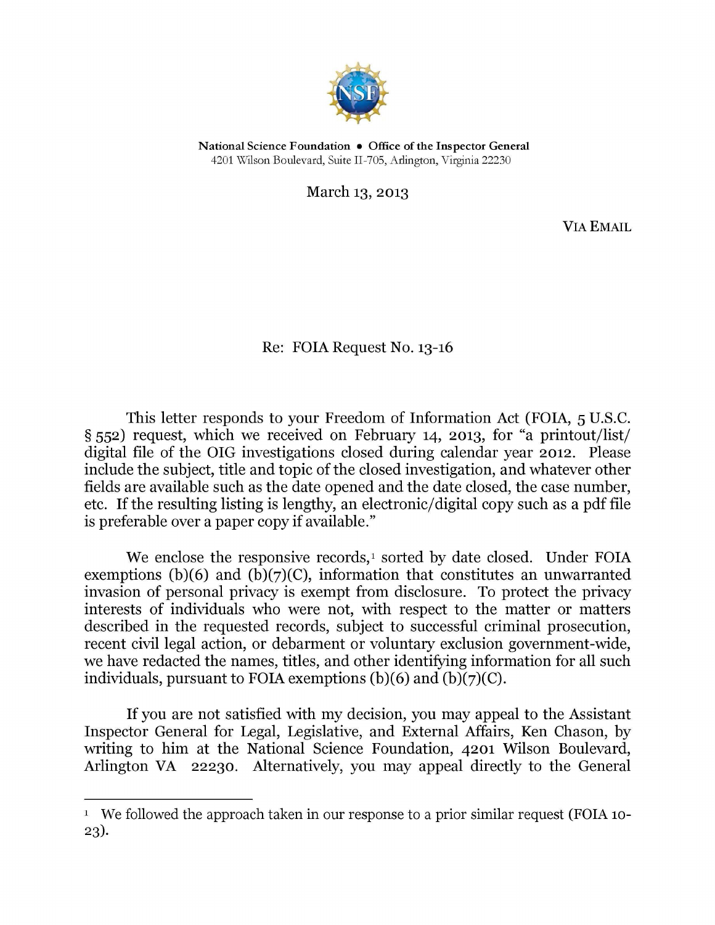

National Science Foundation • Office of the Inspector General 4201 Wilson Boulevard, Suite II-705, Arlington, Virginia 22230

March 13, 2013

VIA EMAIL

Re: FOIA Request No. 13-16

This letter responds to your Freedom of Information Act (FOIA, 5 U.S.C. § 552) request, which we received on February 14, 2013, for "a printout/list/ digital file of the OIG investigations closed during calendar year 2012. Please include the subject, title and topic of the closed investigation, and whatever other fields are available such as the date opened and the date closed, the case number, etc. If the resulting listing is lengthy, an electronic/ digital copy such as a pdf file is preferable over a paper copy if available."

We enclose the responsive records,<sup>[1](#page-1-0)</sup> sorted by date closed. Under FOIA exemptions (b)(6) and (b)(7)(C), information that constitutes an unwarranted invasion of personal privacy is exempt from disclosure. To protect the privacy interests of individuals who were not, with respect to the matter or matters described in the requested records, subject to successful criminal prosecution, recent civil legal action, or debarment or voluntary exclusion government-wide, we have redacted the names, titles, and other identifying information for all such individuals, pursuant to FOIA exemptions (b)(6) and (b)(7)(C).

If you are not satisfied with my decision, you may appeal to the Assistant Inspector General for Legal, Legislative, and External Affairs, Ken Chason, by writing to him at the National Science Foundation, 4201 Wilson Boulevard, Arlington VA 22230. Alternatively, you may appeal directly to the General

<span id="page-1-0"></span><sup>&</sup>lt;sup>1</sup> We followed the approach taken in our response to a prior similar request (FOIA 10-23).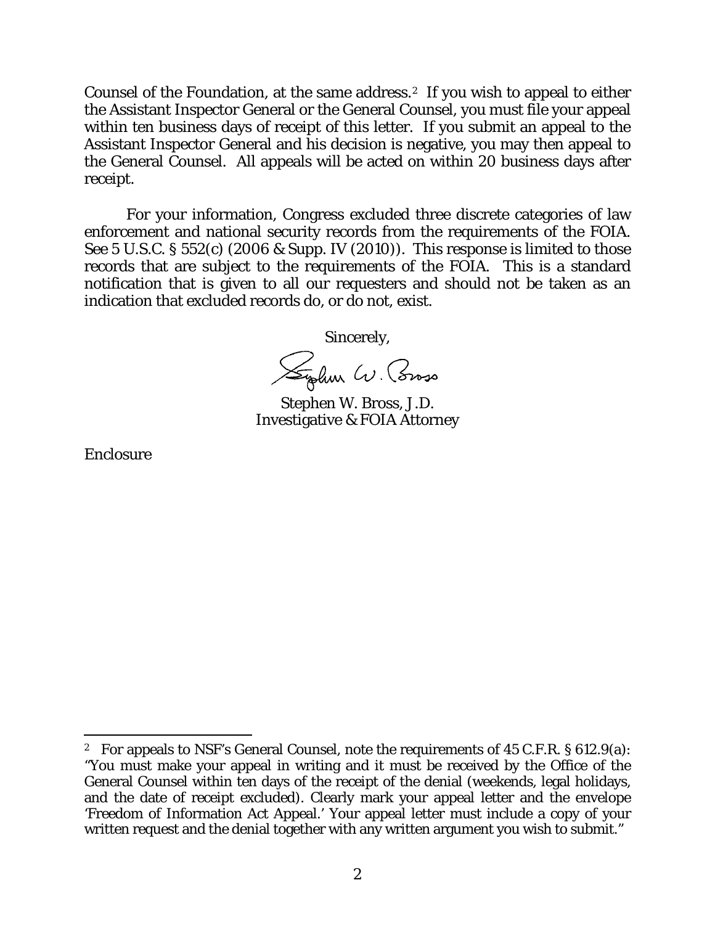Counsel of the Foundation, at the same address.[2](#page-2-0) If you wish to appeal to either the Assistant Inspector General or the General Counsel, you must file your appeal within ten business days of receipt of this letter. If you submit an appeal to the Assistant Inspector General and his decision is negative, you may then appeal to the General Counsel. All appeals will be acted on within 20 business days after receipt.

For your information, Congress excluded three discrete categories of law enforcement and national security records from the requirements of the FOIA. See 5 U.S.C. § 552(c) (2006 & Supp. IV (2010)). This response is limited to those records that are subject to the requirements of the FOIA. This is a standard notification that is given to all our requesters and should not be taken as an indication that excluded records do, or do not, exist.

Sincerely,

Sylve W. Cross

Stephen W. Bross, J.D. Investigative & FOIA Attorney

Enclosure

 $\overline{a}$ 

<span id="page-2-0"></span><sup>2</sup> For appeals to NSF's General Counsel, note the requirements of 45 C.F.R. § 612.9(a): "You must make your appeal in writing and it must be received by the Office of the General Counsel within ten days of the receipt of the denial (weekends, legal holidays, and the date of receipt excluded). Clearly mark your appeal letter and the envelope 'Freedom of Information Act Appeal.' Your appeal letter must include a copy of your written request and the denial together with any written argument you wish to submit."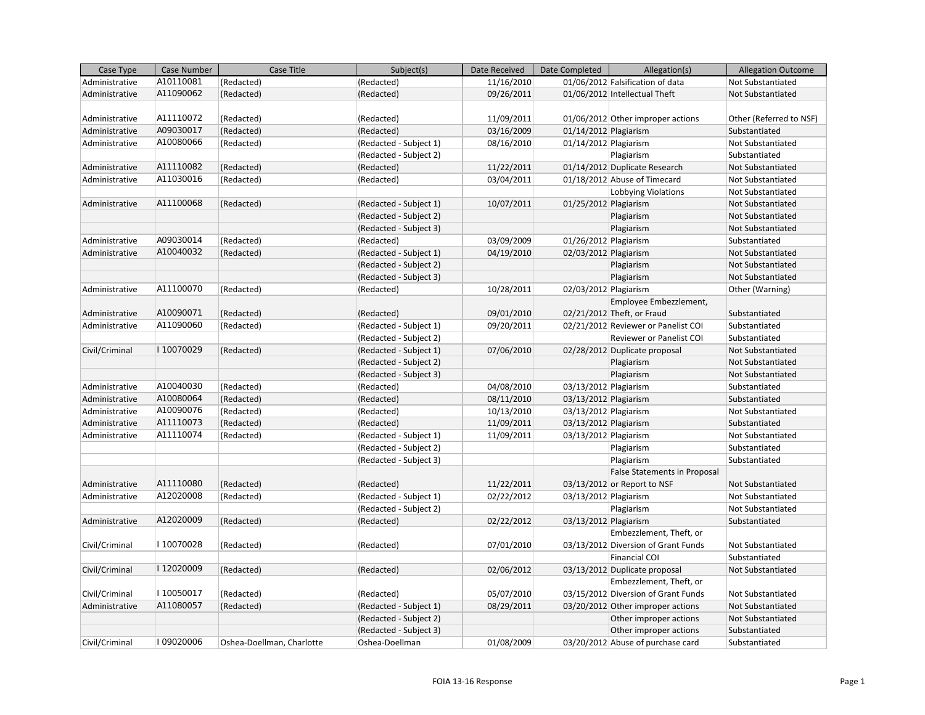| Case Type      | Case Number | Case Title                | Subject(s)             | Date Received | Date Completed        | Allegation(s)                       | <b>Allegation Outcome</b> |
|----------------|-------------|---------------------------|------------------------|---------------|-----------------------|-------------------------------------|---------------------------|
| Administrative | A10110081   | (Redacted)                | (Redacted)             | 11/16/2010    |                       | 01/06/2012 Falsification of data    | Not Substantiated         |
| Administrative | A11090062   | (Redacted)                | (Redacted)             | 09/26/2011    |                       | 01/06/2012 Intellectual Theft       | Not Substantiated         |
|                |             |                           |                        |               |                       |                                     |                           |
| Administrative | A11110072   | (Redacted)                | (Redacted)             | 11/09/2011    |                       | 01/06/2012 Other improper actions   | Other (Referred to NSF)   |
| Administrative | A09030017   | (Redacted)                | (Redacted)             | 03/16/2009    | 01/14/2012 Plagiarism |                                     | Substantiated             |
| Administrative | A10080066   | (Redacted)                | (Redacted - Subject 1) | 08/16/2010    | 01/14/2012 Plagiarism |                                     | Not Substantiated         |
|                |             |                           | (Redacted - Subject 2) |               |                       | Plagiarism                          | Substantiated             |
| Administrative | A11110082   | (Redacted)                | (Redacted)             | 11/22/2011    |                       | 01/14/2012 Duplicate Research       | Not Substantiated         |
| Administrative | A11030016   | (Redacted)                | (Redacted)             | 03/04/2011    |                       | 01/18/2012 Abuse of Timecard        | Not Substantiated         |
|                |             |                           |                        |               |                       | Lobbying Violations                 | Not Substantiated         |
| Administrative | A11100068   | (Redacted)                | (Redacted - Subject 1) | 10/07/2011    | 01/25/2012 Plagiarism |                                     | Not Substantiated         |
|                |             |                           | (Redacted - Subject 2) |               |                       | Plagiarism                          | Not Substantiated         |
|                |             |                           | (Redacted - Subject 3) |               |                       | Plagiarism                          | Not Substantiated         |
| Administrative | A09030014   | (Redacted)                | (Redacted)             | 03/09/2009    | 01/26/2012 Plagiarism |                                     | Substantiated             |
| Administrative | A10040032   | (Redacted)                | (Redacted - Subject 1) | 04/19/2010    | 02/03/2012 Plagiarism |                                     | Not Substantiated         |
|                |             |                           | (Redacted - Subject 2) |               |                       | Plagiarism                          | <b>Not Substantiated</b>  |
|                |             |                           | (Redacted - Subject 3) |               |                       | Plagiarism                          | Not Substantiated         |
| Administrative | A11100070   | (Redacted)                | (Redacted)             | 10/28/2011    | 02/03/2012 Plagiarism |                                     | Other (Warning)           |
|                |             |                           |                        |               |                       | Employee Embezzlement,              |                           |
| Administrative | A10090071   | (Redacted)                | (Redacted)             | 09/01/2010    |                       | 02/21/2012 Theft, or Fraud          | Substantiated             |
| Administrative | A11090060   | (Redacted)                | (Redacted - Subject 1) | 09/20/2011    |                       | 02/21/2012 Reviewer or Panelist COI | Substantiated             |
|                |             |                           | (Redacted - Subject 2) |               |                       | Reviewer or Panelist COI            | Substantiated             |
| Civil/Criminal | I10070029   | (Redacted)                | (Redacted - Subject 1) | 07/06/2010    |                       | 02/28/2012 Duplicate proposal       | Not Substantiated         |
|                |             |                           | (Redacted - Subject 2) |               |                       | Plagiarism                          | Not Substantiated         |
|                |             |                           | (Redacted - Subject 3) |               |                       | Plagiarism                          | Not Substantiated         |
| Administrative | A10040030   | (Redacted)                | (Redacted)             | 04/08/2010    | 03/13/2012 Plagiarism |                                     | Substantiated             |
| Administrative | A10080064   | (Redacted)                | (Redacted)             | 08/11/2010    | 03/13/2012 Plagiarism |                                     | Substantiated             |
| Administrative | A10090076   | (Redacted)                | (Redacted)             | 10/13/2010    | 03/13/2012 Plagiarism |                                     | Not Substantiated         |
| Administrative | A11110073   | (Redacted)                | (Redacted)             | 11/09/2011    | 03/13/2012 Plagiarism |                                     | Substantiated             |
| Administrative | A11110074   | (Redacted)                | (Redacted - Subject 1) | 11/09/2011    | 03/13/2012 Plagiarism |                                     | Not Substantiated         |
|                |             |                           | (Redacted - Subject 2) |               |                       | Plagiarism                          | Substantiated             |
|                |             |                           | (Redacted - Subject 3) |               |                       | Plagiarism                          | Substantiated             |
|                |             |                           |                        |               |                       | <b>False Statements in Proposal</b> |                           |
| Administrative | A11110080   | (Redacted)                | (Redacted)             | 11/22/2011    |                       | 03/13/2012 or Report to NSF         | Not Substantiated         |
| Administrative | A12020008   | (Redacted)                | (Redacted - Subject 1) | 02/22/2012    | 03/13/2012 Plagiarism |                                     | Not Substantiated         |
|                |             |                           | (Redacted - Subject 2) |               |                       | Plagiarism                          | Not Substantiated         |
| Administrative | A12020009   | (Redacted)                | (Redacted)             | 02/22/2012    | 03/13/2012 Plagiarism |                                     | Substantiated             |
|                |             |                           |                        |               |                       | Embezzlement, Theft, or             |                           |
| Civil/Criminal | I10070028   | (Redacted)                | (Redacted)             | 07/01/2010    |                       | 03/13/2012 Diversion of Grant Funds | Not Substantiated         |
|                |             |                           |                        |               |                       | Financial COI                       | Substantiated             |
| Civil/Criminal | I12020009   | (Redacted)                | (Redacted)             | 02/06/2012    |                       | 03/13/2012 Duplicate proposal       | Not Substantiated         |
|                |             |                           |                        |               |                       | Embezzlement, Theft, or             |                           |
| Civil/Criminal | I10050017   | (Redacted)                | (Redacted)             | 05/07/2010    |                       | 03/15/2012 Diversion of Grant Funds | Not Substantiated         |
| Administrative | A11080057   | (Redacted)                | (Redacted - Subject 1) | 08/29/2011    |                       | 03/20/2012 Other improper actions   | Not Substantiated         |
|                |             |                           | (Redacted - Subject 2) |               |                       | Other improper actions              | Not Substantiated         |
|                |             |                           | (Redacted - Subject 3) |               |                       | Other improper actions              | Substantiated             |
| Civil/Criminal | 109020006   | Oshea-Doellman, Charlotte | Oshea-Doellman         | 01/08/2009    |                       | 03/20/2012 Abuse of purchase card   | Substantiated             |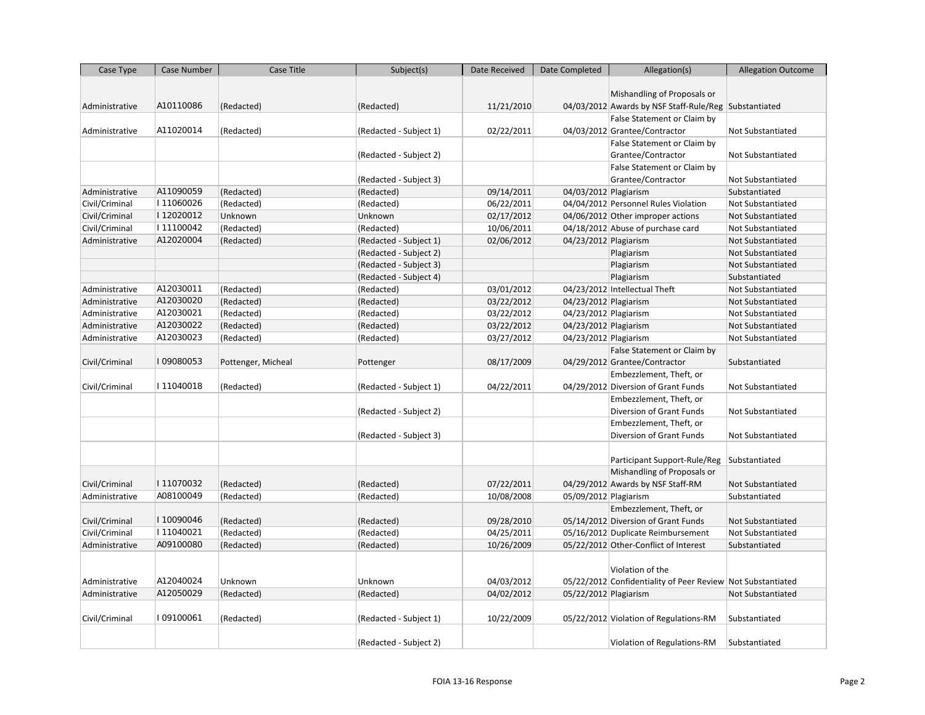| Case Type      | Case Number | Case Title         | Subject(s)             | Date Received | Date Completed        | Allegation(s)                                               | <b>Allegation Outcome</b> |
|----------------|-------------|--------------------|------------------------|---------------|-----------------------|-------------------------------------------------------------|---------------------------|
|                |             |                    |                        |               |                       |                                                             |                           |
|                |             |                    |                        |               |                       | Mishandling of Proposals or                                 |                           |
| Administrative | A10110086   | (Redacted)         | (Redacted)             | 11/21/2010    |                       | 04/03/2012 Awards by NSF Staff-Rule/Reg Substantiated       |                           |
|                |             |                    |                        |               |                       | False Statement or Claim by                                 |                           |
| Administrative | A11020014   | (Redacted)         | (Redacted - Subject 1) | 02/22/2011    |                       | 04/03/2012 Grantee/Contractor                               | Not Substantiated         |
|                |             |                    |                        |               |                       | False Statement or Claim by                                 |                           |
|                |             |                    | (Redacted - Subject 2) |               |                       | Grantee/Contractor                                          | Not Substantiated         |
|                |             |                    |                        |               |                       | False Statement or Claim by                                 |                           |
|                |             |                    | (Redacted - Subject 3) |               |                       | Grantee/Contractor                                          | Not Substantiated         |
| Administrative | A11090059   | (Redacted)         | (Redacted)             | 09/14/2011    | 04/03/2012 Plagiarism |                                                             | Substantiated             |
| Civil/Criminal | I11060026   | (Redacted)         | (Redacted)             | 06/22/2011    |                       | 04/04/2012 Personnel Rules Violation                        | Not Substantiated         |
| Civil/Criminal | I12020012   | Unknown            | Unknown                | 02/17/2012    |                       | 04/06/2012 Other improper actions                           | Not Substantiated         |
| Civil/Criminal | I11100042   | (Redacted)         | (Redacted)             | 10/06/2011    |                       | 04/18/2012 Abuse of purchase card                           | Not Substantiated         |
| Administrative | A12020004   | (Redacted)         | (Redacted - Subject 1) | 02/06/2012    | 04/23/2012 Plagiarism |                                                             | Not Substantiated         |
|                |             |                    | (Redacted - Subject 2) |               |                       | Plagiarism                                                  | Not Substantiated         |
|                |             |                    | (Redacted - Subject 3) |               |                       | Plagiarism                                                  | Not Substantiated         |
|                |             |                    | (Redacted - Subject 4) |               |                       | Plagiarism                                                  | Substantiated             |
| Administrative | A12030011   | (Redacted)         | (Redacted)             | 03/01/2012    |                       | 04/23/2012 Intellectual Theft                               | Not Substantiated         |
| Administrative | A12030020   | (Redacted)         | (Redacted)             | 03/22/2012    | 04/23/2012 Plagiarism |                                                             | Not Substantiated         |
| Administrative | A12030021   | (Redacted)         | (Redacted)             | 03/22/2012    | 04/23/2012 Plagiarism |                                                             | Not Substantiated         |
| Administrative | A12030022   | (Redacted)         | (Redacted)             | 03/22/2012    | 04/23/2012 Plagiarism |                                                             | Not Substantiated         |
| Administrative | A12030023   | (Redacted)         | (Redacted)             | 03/27/2012    | 04/23/2012 Plagiarism |                                                             | Not Substantiated         |
|                |             |                    |                        |               |                       | False Statement or Claim by                                 |                           |
| Civil/Criminal | I09080053   | Pottenger, Micheal | Pottenger              | 08/17/2009    |                       | 04/29/2012 Grantee/Contractor                               | Substantiated             |
|                |             |                    |                        |               |                       | Embezzlement, Theft, or                                     |                           |
| Civil/Criminal | I11040018   | (Redacted)         | (Redacted - Subject 1) | 04/22/2011    |                       | 04/29/2012 Diversion of Grant Funds                         | Not Substantiated         |
|                |             |                    |                        |               |                       | Embezzlement, Theft, or                                     |                           |
|                |             |                    | (Redacted - Subject 2) |               |                       | Diversion of Grant Funds                                    | Not Substantiated         |
|                |             |                    |                        |               |                       | Embezzlement, Theft, or                                     |                           |
|                |             |                    | (Redacted - Subject 3) |               |                       | Diversion of Grant Funds                                    | Not Substantiated         |
|                |             |                    |                        |               |                       |                                                             |                           |
|                |             |                    |                        |               |                       | Participant Support-Rule/Reg                                | Substantiated             |
|                |             |                    |                        |               |                       | Mishandling of Proposals or                                 |                           |
| Civil/Criminal | I11070032   | (Redacted)         | (Redacted)             | 07/22/2011    |                       | 04/29/2012 Awards by NSF Staff-RM                           | Not Substantiated         |
| Administrative | A08100049   | (Redacted)         | (Redacted)             | 10/08/2008    | 05/09/2012 Plagiarism |                                                             | Substantiated             |
|                |             |                    |                        |               |                       | Embezzlement, Theft, or                                     |                           |
| Civil/Criminal | I10090046   | (Redacted)         | (Redacted)             | 09/28/2010    |                       | 05/14/2012 Diversion of Grant Funds                         | Not Substantiated         |
| Civil/Criminal | I11040021   | (Redacted)         | (Redacted)             | 04/25/2011    |                       | 05/16/2012 Duplicate Reimbursement                          | Not Substantiated         |
| Administrative | A09100080   | (Redacted)         | (Redacted)             | 10/26/2009    |                       | 05/22/2012 Other-Conflict of Interest                       | Substantiated             |
|                |             |                    |                        |               |                       |                                                             |                           |
|                |             |                    |                        |               |                       | Violation of the                                            |                           |
| Administrative | A12040024   | Unknown            | Unknown                | 04/03/2012    |                       | 05/22/2012 Confidentiality of Peer Review Not Substantiated |                           |
| Administrative | A12050029   | (Redacted)         | (Redacted)             | 04/02/2012    | 05/22/2012 Plagiarism |                                                             | Not Substantiated         |
|                |             |                    |                        |               |                       |                                                             |                           |
| Civil/Criminal | I09100061   | (Redacted)         | (Redacted - Subject 1) | 10/22/2009    |                       | 05/22/2012 Violation of Regulations-RM                      | Substantiated             |
|                |             |                    |                        |               |                       |                                                             |                           |
|                |             |                    | (Redacted - Subject 2) |               |                       | Violation of Regulations-RM                                 | Substantiated             |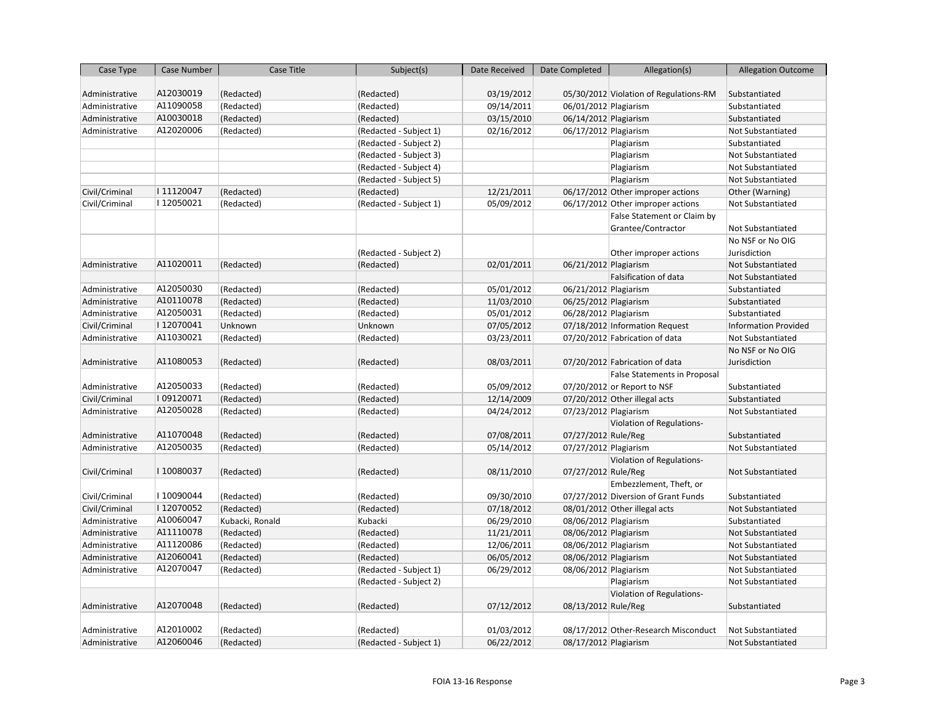| Case Type      | Case Number | Case Title      | Subject(s)             | Date Received | Date Completed        | Allegation(s)                          | <b>Allegation Outcome</b>   |
|----------------|-------------|-----------------|------------------------|---------------|-----------------------|----------------------------------------|-----------------------------|
|                |             |                 |                        |               |                       |                                        |                             |
| Administrative | A12030019   | (Redacted)      | (Redacted)             | 03/19/2012    |                       | 05/30/2012 Violation of Regulations-RM | Substantiated               |
| Administrative | A11090058   | (Redacted)      | (Redacted)             | 09/14/2011    | 06/01/2012 Plagiarism |                                        | Substantiated               |
| Administrative | A10030018   | (Redacted)      | (Redacted)             | 03/15/2010    | 06/14/2012 Plagiarism |                                        | Substantiated               |
| Administrative | A12020006   | (Redacted)      | (Redacted - Subject 1) | 02/16/2012    | 06/17/2012 Plagiarism |                                        | <b>Not Substantiated</b>    |
|                |             |                 | (Redacted - Subject 2) |               |                       | Plagiarism                             | Substantiated               |
|                |             |                 | (Redacted - Subject 3) |               |                       | Plagiarism                             | <b>Not Substantiated</b>    |
|                |             |                 | (Redacted - Subject 4) |               |                       | Plagiarism                             | <b>Not Substantiated</b>    |
|                |             |                 | (Redacted - Subject 5) |               |                       | Plagiarism                             | <b>Not Substantiated</b>    |
| Civil/Criminal | I11120047   | (Redacted)      | (Redacted)             | 12/21/2011    |                       | 06/17/2012 Other improper actions      | Other (Warning)             |
| Civil/Criminal | I12050021   | (Redacted)      | (Redacted - Subject 1) | 05/09/2012    |                       | 06/17/2012 Other improper actions      | Not Substantiated           |
|                |             |                 |                        |               |                       | False Statement or Claim by            |                             |
|                |             |                 |                        |               |                       | Grantee/Contractor                     | Not Substantiated           |
|                |             |                 |                        |               |                       |                                        | No NSF or No OIG            |
|                |             |                 | (Redacted - Subject 2) |               |                       | Other improper actions                 | Jurisdiction                |
| Administrative | A11020011   | (Redacted)      | (Redacted)             | 02/01/2011    | 06/21/2012 Plagiarism |                                        | <b>Not Substantiated</b>    |
|                |             |                 |                        |               |                       | Falsification of data                  | <b>Not Substantiated</b>    |
| Administrative | A12050030   | (Redacted)      | (Redacted)             | 05/01/2012    | 06/21/2012 Plagiarism |                                        | Substantiated               |
| Administrative | A10110078   | (Redacted)      | (Redacted)             | 11/03/2010    | 06/25/2012 Plagiarism |                                        | Substantiated               |
| Administrative | A12050031   | (Redacted)      | (Redacted)             | 05/01/2012    | 06/28/2012 Plagiarism |                                        | Substantiated               |
| Civil/Criminal | I12070041   | Unknown         | Unknown                | 07/05/2012    |                       | 07/18/2012 Information Request         | <b>Information Provided</b> |
| Administrative | A11030021   | (Redacted)      | (Redacted)             | 03/23/2011    |                       | 07/20/2012 Fabrication of data         | <b>Not Substantiated</b>    |
|                |             |                 |                        |               |                       |                                        | No NSF or No OIG            |
| Administrative | A11080053   | (Redacted)      | (Redacted)             | 08/03/2011    |                       | 07/20/2012 Fabrication of data         | Jurisdiction                |
|                |             |                 |                        |               |                       | False Statements in Proposal           |                             |
| Administrative | A12050033   | (Redacted)      | (Redacted)             | 05/09/2012    |                       | 07/20/2012 or Report to NSF            | Substantiated               |
| Civil/Criminal | 109120071   | (Redacted)      | (Redacted)             | 12/14/2009    |                       | 07/20/2012 Other illegal acts          | Substantiated               |
| Administrative | A12050028   | (Redacted)      | (Redacted)             | 04/24/2012    | 07/23/2012 Plagiarism |                                        | <b>Not Substantiated</b>    |
|                |             |                 |                        |               |                       | Violation of Regulations-              |                             |
| Administrative | A11070048   | (Redacted)      | (Redacted)             | 07/08/2011    | 07/27/2012 Rule/Reg   |                                        | Substantiated               |
| Administrative | A12050035   | (Redacted)      | (Redacted)             | 05/14/2012    | 07/27/2012 Plagiarism |                                        | Not Substantiated           |
|                |             |                 |                        |               |                       | Violation of Regulations-              |                             |
| Civil/Criminal | I10080037   | (Redacted)      | (Redacted)             | 08/11/2010    | 07/27/2012 Rule/Reg   |                                        | Not Substantiated           |
|                |             |                 |                        |               |                       | Embezzlement, Theft, or                |                             |
| Civil/Criminal | I10090044   | (Redacted)      | (Redacted)             | 09/30/2010    |                       | 07/27/2012 Diversion of Grant Funds    | Substantiated               |
| Civil/Criminal | I12070052   | (Redacted)      | (Redacted)             | 07/18/2012    |                       | 08/01/2012 Other illegal acts          | <b>Not Substantiated</b>    |
| Administrative | A10060047   | Kubacki, Ronald | Kubacki                | 06/29/2010    | 08/06/2012 Plagiarism |                                        | Substantiated               |
| Administrative | A11110078   | (Redacted)      | (Redacted)             | 11/21/2011    | 08/06/2012 Plagiarism |                                        | Not Substantiated           |
| Administrative | A11120086   | (Redacted)      | (Redacted)             | 12/06/2011    | 08/06/2012 Plagiarism |                                        | Not Substantiated           |
| Administrative | A12060041   | (Redacted)      | (Redacted)             | 06/05/2012    | 08/06/2012 Plagiarism |                                        | <b>Not Substantiated</b>    |
| Administrative | A12070047   | (Redacted)      | (Redacted - Subject 1) | 06/29/2012    | 08/06/2012 Plagiarism |                                        | Not Substantiated           |
|                |             |                 | (Redacted - Subject 2) |               |                       | Plagiarism                             | <b>Not Substantiated</b>    |
|                |             |                 |                        |               |                       | Violation of Regulations-              |                             |
| Administrative | A12070048   | (Redacted)      | (Redacted)             | 07/12/2012    | 08/13/2012 Rule/Reg   |                                        | Substantiated               |
|                |             |                 |                        |               |                       |                                        |                             |
| Administrative | A12010002   | (Redacted)      | (Redacted)             | 01/03/2012    |                       | 08/17/2012 Other-Research Misconduct   | Not Substantiated           |
| Administrative | A12060046   | (Redacted)      | (Redacted - Subject 1) | 06/22/2012    | 08/17/2012 Plagiarism |                                        | <b>Not Substantiated</b>    |
|                |             |                 |                        |               |                       |                                        |                             |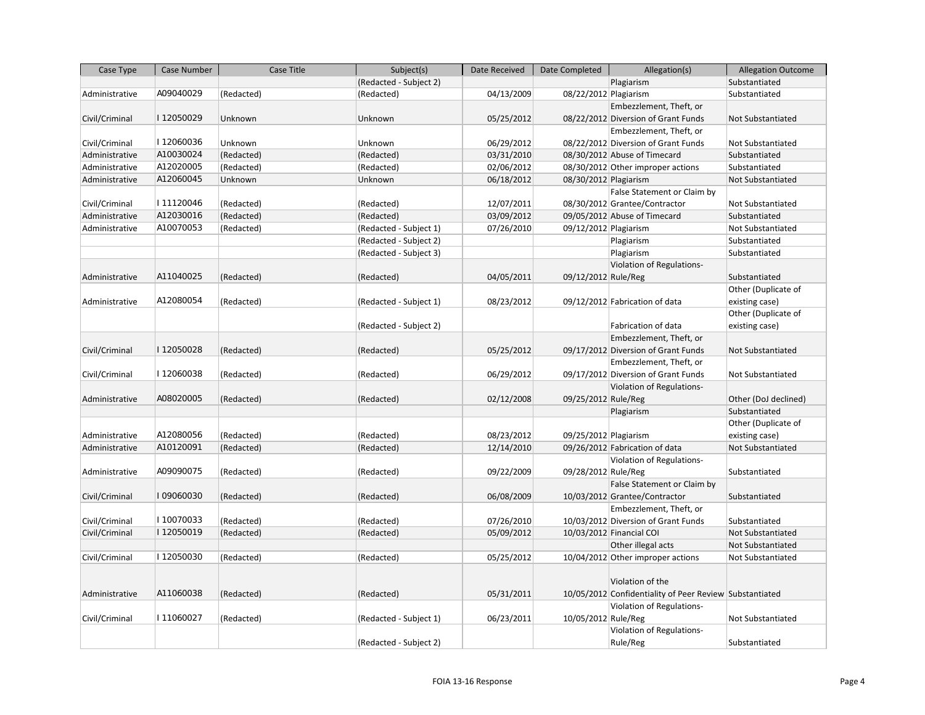| Case Type      | Case Number | Case Title | Subject(s)             | Date Received | Date Completed        | Allegation(s)                                           | <b>Allegation Outcome</b> |
|----------------|-------------|------------|------------------------|---------------|-----------------------|---------------------------------------------------------|---------------------------|
|                |             |            | (Redacted - Subject 2) |               |                       | Plagiarism                                              | Substantiated             |
| Administrative | A09040029   | (Redacted) | (Redacted)             | 04/13/2009    | 08/22/2012 Plagiarism |                                                         | Substantiated             |
|                |             |            |                        |               |                       | Embezzlement, Theft, or                                 |                           |
| Civil/Criminal | I12050029   | Unknown    | Unknown                | 05/25/2012    |                       | 08/22/2012 Diversion of Grant Funds                     | Not Substantiated         |
|                |             |            |                        |               |                       | Embezzlement, Theft, or                                 |                           |
| Civil/Criminal | I12060036   | Unknown    | Unknown                | 06/29/2012    |                       | 08/22/2012 Diversion of Grant Funds                     | Not Substantiated         |
| Administrative | A10030024   | (Redacted) | (Redacted)             | 03/31/2010    |                       | 08/30/2012 Abuse of Timecard                            | Substantiated             |
| Administrative | A12020005   | (Redacted) | (Redacted)             | 02/06/2012    |                       | 08/30/2012 Other improper actions                       | Substantiated             |
| Administrative | A12060045   | Unknown    | Unknown                | 06/18/2012    | 08/30/2012 Plagiarism |                                                         | Not Substantiated         |
|                |             |            |                        |               |                       | False Statement or Claim by                             |                           |
| Civil/Criminal | I11120046   | (Redacted) | (Redacted)             | 12/07/2011    |                       | 08/30/2012 Grantee/Contractor                           | Not Substantiated         |
| Administrative | A12030016   | (Redacted) | (Redacted)             | 03/09/2012    |                       | 09/05/2012 Abuse of Timecard                            | Substantiated             |
| Administrative | A10070053   | (Redacted) | (Redacted - Subject 1) | 07/26/2010    | 09/12/2012 Plagiarism |                                                         | Not Substantiated         |
|                |             |            | (Redacted - Subject 2) |               |                       | Plagiarism                                              | Substantiated             |
|                |             |            | (Redacted - Subject 3) |               |                       | Plagiarism                                              | Substantiated             |
|                |             |            |                        |               |                       | Violation of Regulations-                               |                           |
| Administrative | A11040025   | (Redacted) | (Redacted)             | 04/05/2011    | 09/12/2012 Rule/Reg   |                                                         | Substantiated             |
|                |             |            |                        |               |                       |                                                         | Other (Duplicate of       |
| Administrative | A12080054   | (Redacted) | (Redacted - Subject 1) | 08/23/2012    |                       | 09/12/2012 Fabrication of data                          | existing case)            |
|                |             |            |                        |               |                       |                                                         | Other (Duplicate of       |
|                |             |            | (Redacted - Subject 2) |               |                       | Fabrication of data                                     | existing case)            |
|                |             |            |                        |               |                       | Embezzlement, Theft, or                                 |                           |
| Civil/Criminal | I12050028   | (Redacted) | (Redacted)             | 05/25/2012    |                       | 09/17/2012 Diversion of Grant Funds                     | Not Substantiated         |
|                |             |            |                        |               |                       | Embezzlement, Theft, or                                 |                           |
| Civil/Criminal | I12060038   | (Redacted) | (Redacted)             | 06/29/2012    |                       | 09/17/2012 Diversion of Grant Funds                     | Not Substantiated         |
|                |             |            |                        |               |                       | Violation of Regulations-                               |                           |
| Administrative | A08020005   | (Redacted) | (Redacted)             | 02/12/2008    | 09/25/2012 Rule/Reg   |                                                         | Other (DoJ declined)      |
|                |             |            |                        |               |                       | Plagiarism                                              | Substantiated             |
|                |             |            |                        |               |                       |                                                         | Other (Duplicate of       |
| Administrative | A12080056   | (Redacted) | (Redacted)             | 08/23/2012    | 09/25/2012 Plagiarism |                                                         | existing case)            |
| Administrative | A10120091   | (Redacted) | (Redacted)             | 12/14/2010    |                       | 09/26/2012 Fabrication of data                          | Not Substantiated         |
|                |             |            |                        |               |                       | Violation of Regulations-                               |                           |
| Administrative | A09090075   | (Redacted) | (Redacted)             | 09/22/2009    | 09/28/2012 Rule/Reg   |                                                         | Substantiated             |
|                |             |            |                        |               |                       | False Statement or Claim by                             |                           |
| Civil/Criminal | I09060030   | (Redacted) | (Redacted)             | 06/08/2009    |                       | 10/03/2012 Grantee/Contractor                           | Substantiated             |
|                |             |            |                        |               |                       | Embezzlement, Theft, or                                 |                           |
| Civil/Criminal | I10070033   | (Redacted) | (Redacted)             | 07/26/2010    |                       | 10/03/2012 Diversion of Grant Funds                     | Substantiated             |
| Civil/Criminal | I12050019   | (Redacted) | (Redacted)             | 05/09/2012    |                       | 10/03/2012 Financial COI                                | Not Substantiated         |
|                |             |            |                        |               |                       | Other illegal acts                                      | Not Substantiated         |
| Civil/Criminal | I12050030   | (Redacted) | (Redacted)             | 05/25/2012    |                       | 10/04/2012 Other improper actions                       | Not Substantiated         |
|                |             |            |                        |               |                       |                                                         |                           |
|                |             |            |                        |               |                       | Violation of the                                        |                           |
| Administrative | A11060038   | (Redacted) | (Redacted)             | 05/31/2011    |                       | 10/05/2012 Confidentiality of Peer Review Substantiated |                           |
|                |             |            |                        |               |                       | Violation of Regulations-                               |                           |
| Civil/Criminal | I11060027   | (Redacted) | (Redacted - Subject 1) | 06/23/2011    | 10/05/2012 Rule/Reg   |                                                         | Not Substantiated         |
|                |             |            |                        |               |                       | Violation of Regulations-                               |                           |
|                |             |            | (Redacted - Subject 2) |               |                       | Rule/Reg                                                | Substantiated             |
|                |             |            |                        |               |                       |                                                         |                           |